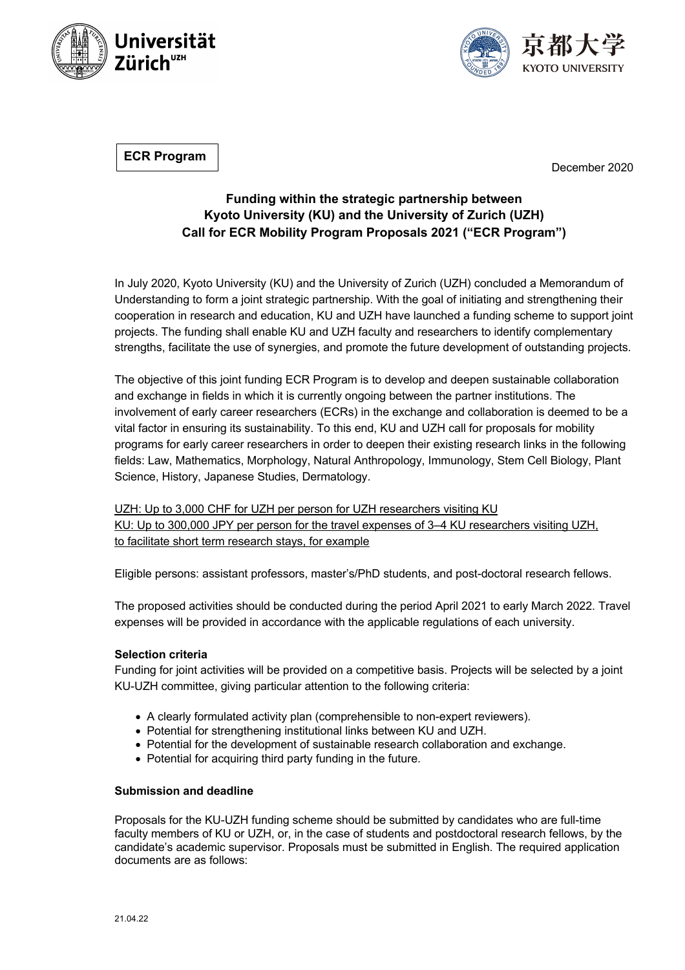



**ECR Program**

December 2020

## **Funding within the strategic partnership between Kyoto University (KU) and the University of Zurich (UZH) Call for ECR Mobility Program Proposals 2021 ("ECR Program")**

In July 2020, Kyoto University (KU) and the University of Zurich (UZH) concluded a Memorandum of Understanding to form a joint strategic partnership. With the goal of initiating and strengthening their cooperation in research and education, KU and UZH have launched a funding scheme to support joint projects. The funding shall enable KU and UZH faculty and researchers to identify complementary strengths, facilitate the use of synergies, and promote the future development of outstanding projects.

The objective of this joint funding ECR Program is to develop and deepen sustainable collaboration and exchange in fields in which it is currently ongoing between the partner institutions. The involvement of early career researchers (ECRs) in the exchange and collaboration is deemed to be a vital factor in ensuring its sustainability. To this end, KU and UZH call for proposals for mobility programs for early career researchers in order to deepen their existing research links in the following fields: Law, Mathematics, Morphology, Natural Anthropology, Immunology, Stem Cell Biology, Plant Science, History, Japanese Studies, Dermatology.

UZH: Up to 3,000 CHF for UZH per person for UZH researchers visiting KU KU: Up to 300,000 JPY per person for the travel expenses of 3–4 KU researchers visiting UZH, to facilitate short term research stays, for example

Eligible persons: assistant professors, master's/PhD students, and post-doctoral research fellows.

The proposed activities should be conducted during the period April 2021 to early March 2022. Travel expenses will be provided in accordance with the applicable regulations of each university.

## **Selection criteria**

Funding for joint activities will be provided on a competitive basis. Projects will be selected by a joint KU-UZH committee, giving particular attention to the following criteria:

- A clearly formulated activity plan (comprehensible to non-expert reviewers).
- Potential for strengthening institutional links between KU and UZH.
- Potential for the development of sustainable research collaboration and exchange.
- Potential for acquiring third party funding in the future.

## **Submission and deadline**

Proposals for the KU-UZH funding scheme should be submitted by candidates who are full-time faculty members of KU or UZH, or, in the case of students and postdoctoral research fellows, by the candidate's academic supervisor. Proposals must be submitted in English. The required application documents are as follows: